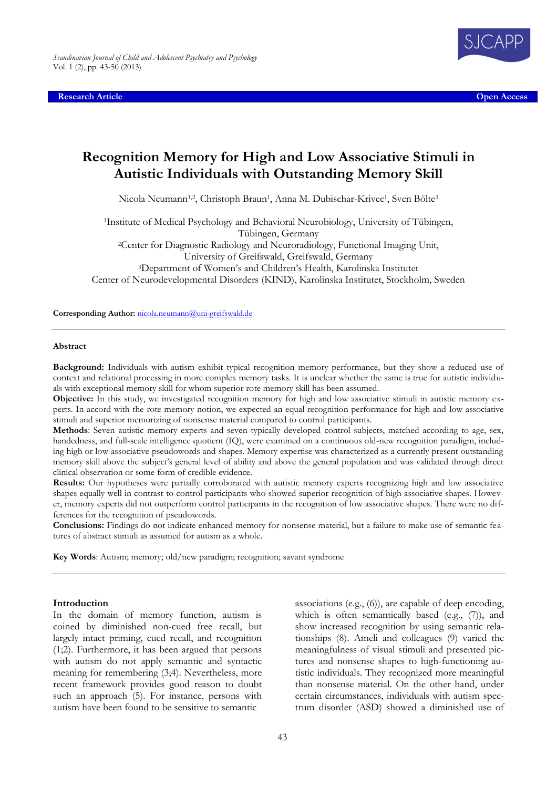**Research Article Open Access**



# **Recognition Memory for High and Low Associative Stimuli in Autistic Individuals with Outstanding Memory Skill**

Nicola Neumann<sup>1,2</sup>, Christoph Braun<sup>1</sup>, Anna M. Dubischar-Krivec<sup>1</sup>, Sven Bölte<sup>3</sup>

<sup>1</sup>Institute of Medical Psychology and Behavioral Neurobiology, University of Tübingen, Tübingen, Germany <sup>2</sup>Center for Diagnostic Radiology and Neuroradiology, Functional Imaging Unit, University of Greifswald, Greifswald, Germany <sup>3</sup>Department of Women's and Children's Health, Karolinska Institutet Center of Neurodevelopmental Disorders (KIND), Karolinska Institutet, Stockholm, Sweden

Corresponding Author: *[nicola.neumann@uni-greifswald.de](mailto:nicola.neumann@uni-greifswald.de)* 

#### **Abstract**

**Background:** Individuals with autism exhibit typical recognition memory performance, but they show a reduced use of context and relational processing in more complex memory tasks. It is unclear whether the same is true for autistic individuals with exceptional memory skill for whom superior rote memory skill has been assumed.

**Objective:** In this study, we investigated recognition memory for high and low associative stimuli in autistic memory experts. In accord with the rote memory notion, we expected an equal recognition performance for high and low associative stimuli and superior memorizing of nonsense material compared to control participants.

**Methods**: Seven autistic memory experts and seven typically developed control subjects, matched according to age, sex, handedness, and full-scale intelligence quotient (IQ), were examined on a continuous old-new recognition paradigm, including high or low associative pseudowords and shapes. Memory expertise was characterized as a currently present outstanding memory skill above the subject's general level of ability and above the general population and was validated through direct clinical observation or some form of credible evidence.

**Results:** Our hypotheses were partially corroborated with autistic memory experts recognizing high and low associative shapes equally well in contrast to control participants who showed superior recognition of high associative shapes. However, memory experts did not outperform control participants in the recognition of low associative shapes. There were no differences for the recognition of pseudowords.

**Conclusions:** Findings do not indicate enhanced memory for nonsense material, but a failure to make use of semantic features of abstract stimuli as assumed for autism as a whole.

**Key Words**: Autism; memory; old/new paradigm; recognition; savant syndrome

#### **Introduction**

In the domain of memory function, autism is coined by diminished non-cued free recall, but largely intact priming, cued recall, and recognition (1;2). Furthermore, it has been argued that persons with autism do not apply semantic and syntactic meaning for remembering (3;4). Nevertheless, more recent framework provides good reason to doubt such an approach (5). For instance, persons with autism have been found to be sensitive to semantic

associations (e.g., (6)), are capable of deep encoding, which is often semantically based (e.g., (7)), and show increased recognition by using semantic relationships (8). Ameli and colleagues (9) varied the meaningfulness of visual stimuli and presented pictures and nonsense shapes to high-functioning autistic individuals. They recognized more meaningful than nonsense material. On the other hand, under certain circumstances, individuals with autism spectrum disorder (ASD) showed a diminished use of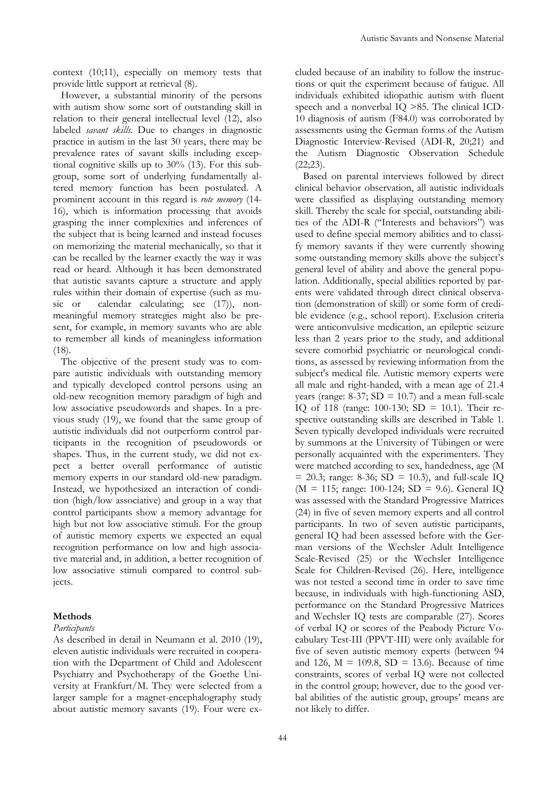context (10;11), especially on memory tests that provide little support at retrieval (8).

However, a substantial minority of the persons with autism show some sort of outstanding skill in relation to their general intellectual level (12), also labeled *savant skills.* Due to changes in diagnostic practice in autism in the last 30 years, there may be prevalence rates of savant skills including exceptional cognitive skills up to 30% (13). For this subgroup, some sort of underlying fundamentally altered memory function has been postulated. A prominent account in this regard is *rote memory* (14- 16), which is information processing that avoids grasping the inner complexities and inferences of the subject that is being learned and instead focuses on memorizing the material mechanically, so that it can be recalled by the learner exactly the way it was read or heard. Although it has been demonstrated that autistic savants capture a structure and apply rules within their domain of expertise (such as music or calendar calculating; see (17), nonmeaningful memory strategies might also be present, for example, in memory savants who are able to remember all kinds of meaningless information (18).

The objective of the present study was to compare autistic individuals with outstanding memory and typically developed control persons using an old-new recognition memory paradigm of high and low associative pseudowords and shapes. In a previous study (19), we found that the same group of autistic individuals did not outperform control participants in the recognition of pseudowords or shapes. Thus, in the current study, we did not expect a better overall performance of autistic memory experts in our standard old-new paradigm. Instead, we hypothesized an interaction of condition (high/low associative) and group in a way that control participants show a memory advantage for high but not low associative stimuli. For the group of autistic memory experts we expected an equal recognition performance on low and high associative material and, in addition, a better recognition of low associative stimuli compared to control subjects.

## **Methods**

## *Participants*

As described in detail in Neumann et al. 2010 (19), eleven autistic individuals were recruited in cooperation with the Department of Child and Adolescent Psychiatry and Psychotherapy of the Goethe University at Frankfurt/M. They were selected from a larger sample for a magnet-encephalography study about autistic memory savants (19). Four were excluded because of an inability to follow the instructions or quit the experiment because of fatigue. All individuals exhibited idiopathic autism with fluent speech and a nonverbal IQ >85. The clinical ICD-10 diagnosis of autism (F84.0) was corroborated by assessments using the German forms of the Autism Diagnostic Interview-Revised (ADI-R, 20;21) and the Autism Diagnostic Observation Schedule  $(22; 23)$ .

Based on parental interviews followed by direct clinical behavior observation, all autistic individuals were classified as displaying outstanding memory skill. Thereby the scale for special, outstanding abilities of the ADI-R ("Interests and behaviors") was used to define special memory abilities and to classify memory savants if they were currently showing some outstanding memory skills above the subject's general level of ability and above the general population. Additionally, special abilities reported by parents were validated through direct clinical observation (demonstration of skill) or some form of credible evidence (e.g., school report). Exclusion criteria were anticonvulsive medication, an epileptic seizure less than 2 years prior to the study, and additional severe comorbid psychiatric or neurological conditions, as assessed by reviewing information from the subject's medical file. Autistic memory experts were all male and right-handed, with a mean age of 21.4 years (range:  $8-37$ ;  $SD = 10.7$ ) and a mean full-scale IQ of 118 (range: 100-130; SD = 10.1). Their respective outstanding skills are described in Table 1. Seven typically developed individuals were recruited by summons at the University of Tübingen or were personally acquainted with the experimenters. They were matched according to sex, handedness, age (M  $= 20.3$ ; range: 8-36; SD  $= 10.3$ ), and full-scale IQ ( $M = 115$ ; range: 100-124; SD = 9.6). General IQ was assessed with the Standard Progressive Matrices (24) in five of seven memory experts and all control participants. In two of seven autistic participants, general IQ had been assessed before with the German versions of the Wechsler Adult Intelligence Scale-Revised (25) or the Wechsler Intelligence Scale for Children-Revised (26). Here, intelligence was not tested a second time in order to save time because, in individuals with high-functioning ASD, performance on the Standard Progressive Matrices and Wechsler IQ tests are comparable (27). Scores of verbal IQ or scores of the Peabody Picture Vocabulary Test-III (PPVT-III) were only available for five of seven autistic memory experts (between 94 and 126,  $M = 109.8$ ,  $SD = 13.6$ . Because of time constraints, scores of verbal IQ were not collected in the control group; however, due to the good verbal abilities of the autistic group, groups' means are not likely to differ.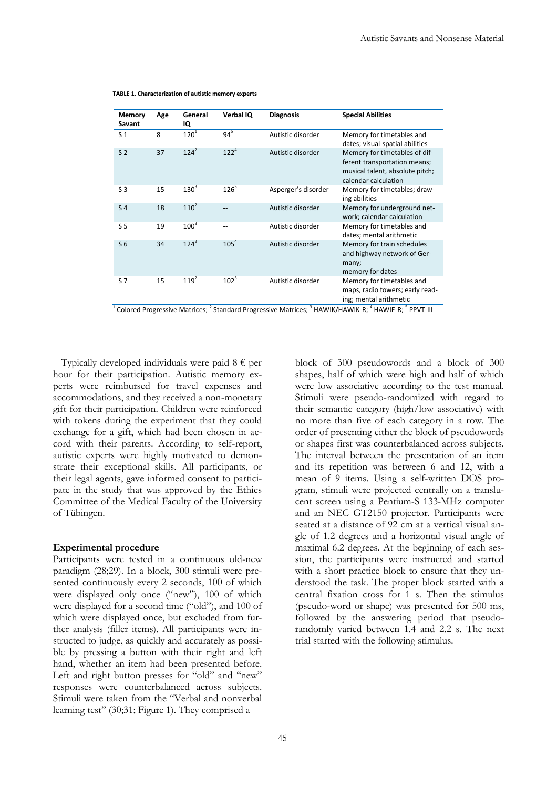| Memory<br>Savant | Age | General<br>IQ | Verbal IQ        | <b>Diagnosis</b>    | <b>Special Abilities</b>                                                                                                 |
|------------------|-----|---------------|------------------|---------------------|--------------------------------------------------------------------------------------------------------------------------|
| S <sub>1</sub>   | 8   | $120^{1}$     | $94^5$           | Autistic disorder   | Memory for timetables and<br>dates; visual-spatial abilities                                                             |
| S <sub>2</sub>   | 37  | $124^2$       | $122^{4}$        | Autistic disorder   | Memory for timetables of dif-<br>ferent transportation means;<br>musical talent, absolute pitch;<br>calendar calculation |
| S <sub>3</sub>   | 15  | $130^{3}$     | $126^3$          | Asperger's disorder | Memory for timetables; draw-<br>ing abilities                                                                            |
| S <sub>4</sub>   | 18  | $110^2$       |                  | Autistic disorder   | Memory for underground net-<br>work; calendar calculation                                                                |
| S <sub>5</sub>   | 19  | $100^{3}$     | --               | Autistic disorder   | Memory for timetables and<br>dates; mental arithmetic                                                                    |
| S <sub>6</sub>   | 34  | $124^2$       | 105 <sup>4</sup> | Autistic disorder   | Memory for train schedules<br>and highway network of Ger-<br>many;<br>memory for dates                                   |
| S 7              | 15  | $119^{2}$     | $102^{5}$        | Autistic disorder   | Memory for timetables and<br>maps, radio towers; early read-<br>ing; mental arithmetic                                   |

| TABLE 1. Characterization of autistic memory experts |  |  |  |
|------------------------------------------------------|--|--|--|
|------------------------------------------------------|--|--|--|

 $^1$  Colored Progressive Matrices;  $^2$  Standard Progressive Matrices;  $^3$  HAWIK/HAWIK-R;  $^4$  HAWIE-R;  $^5$  PPVT-III

Typically developed individuals were paid  $8 \notin$  per hour for their participation. Autistic memory experts were reimbursed for travel expenses and accommodations, and they received a non-monetary gift for their participation. Children were reinforced with tokens during the experiment that they could exchange for a gift, which had been chosen in accord with their parents. According to self-report, autistic experts were highly motivated to demonstrate their exceptional skills. All participants, or their legal agents, gave informed consent to participate in the study that was approved by the Ethics Committee of the Medical Faculty of the University of Tübingen.

## **Experimental procedure**

Participants were tested in a continuous old-new paradigm (28;29). In a block, 300 stimuli were presented continuously every 2 seconds, 100 of which were displayed only once ("new"), 100 of which were displayed for a second time ("old"), and 100 of which were displayed once, but excluded from further analysis (filler items). All participants were instructed to judge, as quickly and accurately as possible by pressing a button with their right and left hand, whether an item had been presented before. Left and right button presses for "old" and "new" responses were counterbalanced across subjects. Stimuli were taken from the "Verbal and nonverbal learning test" (30;31; Figure 1). They comprised a

block of 300 pseudowords and a block of 300 shapes, half of which were high and half of which were low associative according to the test manual. Stimuli were pseudo-randomized with regard to their semantic category (high/low associative) with no more than five of each category in a row. The order of presenting either the block of pseudowords or shapes first was counterbalanced across subjects. The interval between the presentation of an item and its repetition was between 6 and 12, with a mean of 9 items. Using a self-written DOS program, stimuli were projected centrally on a translucent screen using a Pentium-S 133-MHz computer and an NEC GT2150 projector. Participants were seated at a distance of 92 cm at a vertical visual angle of 1.2 degrees and a horizontal visual angle of maximal 6.2 degrees. At the beginning of each session, the participants were instructed and started with a short practice block to ensure that they understood the task. The proper block started with a central fixation cross for 1 s. Then the stimulus (pseudo-word or shape) was presented for 500 ms, followed by the answering period that pseudorandomly varied between 1.4 and 2.2 s. The next trial started with the following stimulus.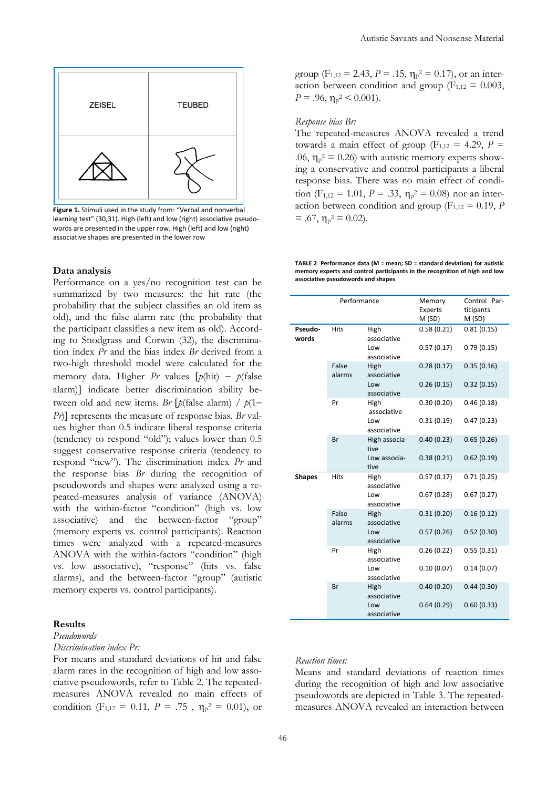

**Figure 1.** Stimuli used in the study from: "Verbal and nonverbal learning test" (30,31). High (left) and low (right) associative pseudowords are presented in the upper row. High (left) and low (right) associative shapes are presented in the lower row

## **Data analysis**

Performance on a yes/no recognition test can be summarized by two measures: the hit rate (the probability that the subject classifies an old item as old), and the false alarm rate (the probability that the participant classifies a new item as old). According to Snodgrass and Corwin (32), the discrimination index *Pr* and the bias index *Br* derived from a two-high threshold model were calculated for the memory data. Higher *Pr* values  $[p(\text{hit}) - p(\text{false})]$ alarm)] indicate better discrimination ability between old and new items. *Br*  $[p$ (false alarm) /  $p$ (1– *Pr*)] represents the measure of response bias. *Br* values higher than 0.5 indicate liberal response criteria (tendency to respond "old"); values lower than 0.5 suggest conservative response criteria (tendency to respond "new"). The discrimination index *Pr* and the response bias *Br* during the recognition of pseudowords and shapes were analyzed using a repeated-measures analysis of variance (ANOVA) with the within-factor "condition" (high vs. low associative) and the between-factor "group" (memory experts vs. control participants). Reaction times were analyzed with a repeated-measures ANOVA with the within-factors "condition" (high vs. low associative), "response" (hits vs. false alarms), and the between-factor "group" (autistic memory experts vs. control participants).

## **Results**

## *Pseudowords*

*Discrimination index Pr:*

For means and standard deviations of hit and false alarm rates in the recognition of high and low associative pseudowords, refer to Table 2. The repeatedmeasures ANOVA revealed no main effects of condition (F<sub>1,12</sub> = 0.11, P = .75,  $\eta_{p}^{2} = 0.01$ ), or

group ( $F_{1,12} = 2.43$ ,  $P = .15$ ,  $\eta_p^2 = 0.17$ ), or an interaction between condition and group ( $F_{1,12} = 0.003$ ,  $P = .96$ ,  $\eta_{\rm p}^2 < 0.001$ ).

#### *Response bias Br:*

The repeated-measures ANOVA revealed a trend towards a main effect of group ( $F_{1,12} = 4.29$ ,  $P =$ .06,  $\eta_p^2 = 0.26$ ) with autistic memory experts showing a conservative and control participants a liberal response bias. There was no main effect of condition ( $F_{1,12} = 1.01$ ,  $P = .33$ ,  $\eta_{p}^2 = 0.08$ ) nor an interaction between condition and group ( $F_{1,12} = 0.19$ , *P*  $= .67, \eta_{p}^{2} = 0.02$ ).

**TABLE 2**. **Performance data (M = mean; SD = standard deviation) for autistic memory experts and control participants in the recognition of high and low associative pseudowords and shapes**

|                  | Performance     |                                           |                          | Control Par-<br>ticipants<br>M(SD) |
|------------------|-----------------|-------------------------------------------|--------------------------|------------------------------------|
| Pseudo-<br>words | <b>Hits</b>     | High<br>associative<br>Low                | 0.58(0.21)<br>0.57(0.17) | 0.81(0.15)<br>0.79(0.15)           |
|                  | False<br>alarms | associative<br>High<br>associative<br>Low | 0.28(0.17)<br>0.26(0.15) | 0.35(0.16)<br>0.32(0.15)           |
|                  | Pr              | associative<br>High                       | 0.30(0.20)               | 0.46(0.18)                         |
|                  |                 | associative<br>Low<br>associative         | 0.31(0.19)               | 0.47(0.23)                         |
|                  | Br              | High associa-<br>tive<br>Low associa-     | 0.40(0.23)<br>0.38(0.21) | 0.65(0.26)<br>0.62(0.19)           |
|                  |                 | tive                                      |                          |                                    |
| <b>Shapes</b>    | <b>Hits</b>     | High<br>associative                       | 0.57(0.17)               | 0.71(0.25)                         |
|                  |                 | Low<br>associative                        | 0.67(0.28)               | 0.67(0.27)                         |
|                  | False<br>alarms | High<br>associative                       | 0.31(0.20)               | 0.16(0.12)                         |
|                  |                 | Low<br>associative                        | 0.57(0.26)               | 0.52(0.30)                         |
|                  | Pr              | High<br>associative                       | 0.26(0.22)               | 0.55(0.31)                         |
|                  |                 | Low<br>associative                        | 0.10(0.07)               | 0.14(0.07)                         |
|                  | Br              | High<br>associative                       | 0.40(0.20)               | 0.44(0.30)                         |
|                  |                 | Low<br>associative                        | 0.64(0.29)               | 0.60(0.33)                         |

## *Reaction times:*

Means and standard deviations of reaction times during the recognition of high and low associative pseudowords are depicted in Table 3. The repeatedmeasures ANOVA revealed an interaction between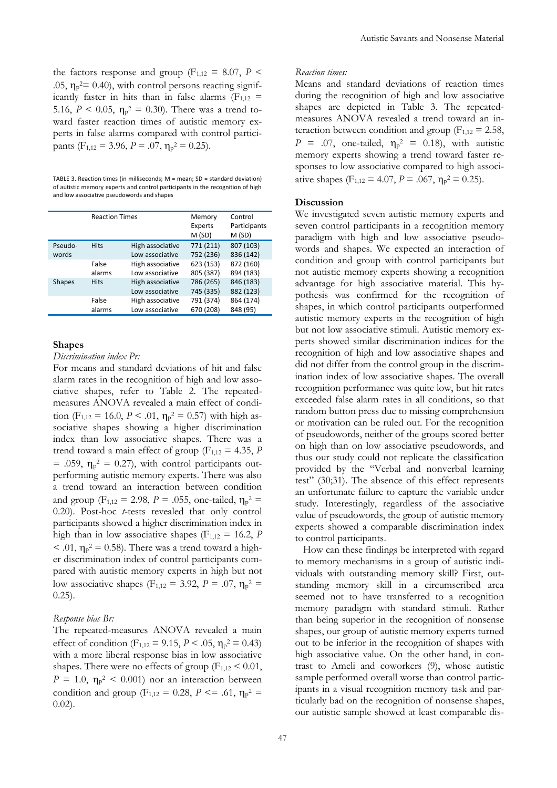the factors response and group ( $F_{1,12} = 8.07$ ,  $P \le$ .05,  $\eta_p^2 = 0.40$ , with control persons reacting significantly faster in hits than in false alarms ( $F_{1,12}$  = 5.16,  $P \le 0.05$ ,  $\eta_{p}^2 = 0.30$ ). There was a trend toward faster reaction times of autistic memory experts in false alarms compared with control participants (F<sub>1,12</sub> = 3.96, P = .07,  $\eta_p^2 = 0.25$ ).

TABLE 3. Reaction times (in milliseconds; M = mean; SD = standard deviation) of autistic memory experts and control participants in the recognition of high and low associative pseudowords and shapes

|               | <b>Reaction Times</b> |                                     | Memory<br><b>Experts</b><br>M(SD) | Control<br>Participants<br>M(SD) |
|---------------|-----------------------|-------------------------------------|-----------------------------------|----------------------------------|
| Pseudo-       | <b>Hits</b>           | High associative                    | 771 (211)                         | 807 (103)                        |
| words         |                       | Low associative                     | 752 (236)                         | 836 (142)                        |
|               | False                 | High associative                    | 623 (153)                         | 872 (160)                        |
|               | alarms                | Low associative                     | 805 (387)                         | 894 (183)                        |
| <b>Shapes</b> | <b>Hits</b>           | High associative<br>Low associative | 786 (265)<br>745 (335)            | 846 (183)<br>882 (123)           |
|               | False                 | High associative                    | 791 (374)                         | 864 (174)                        |
|               | alarms                | Low associative                     | 670 (208)                         | 848 (95)                         |

#### **Shapes**

*Discrimination index Pr:*

For means and standard deviations of hit and false alarm rates in the recognition of high and low associative shapes, refer to Table 2. The repeatedmeasures ANOVA revealed a main effect of condition (F<sub>1,12</sub> = 16.0, *P* < .01,  $\eta_p^2 = 0.57$ ) with high associative shapes showing a higher discrimination index than low associative shapes. There was a trend toward a main effect of group ( $F_{1,12} = 4.35$ , *P* = .059,  $\eta_p^2$  = 0.27), with control participants outperforming autistic memory experts. There was also a trend toward an interaction between condition and group ( $F_{1,12} = 2.98$ ,  $P = .055$ , one-tailed,  $\eta_{P}^{2} =$ 0.20). Post-hoc *t*-tests revealed that only control participants showed a higher discrimination index in high than in low associative shapes ( $F_{1,12} = 16.2$ , *P*  $<$  .01,  $\eta_p^2 = 0.58$ ). There was a trend toward a higher discrimination index of control participants compared with autistic memory experts in high but not low associative shapes (F<sub>1,12</sub> = 3.92, *P* = .07,  $\eta_p^2$  =  $(0.25)$ .

#### *Response bias Br:*

The repeated-measures ANOVA revealed a main effect of condition ( $F_{1,12} = 9.15$ ,  $P < .05$ ,  $\eta_{p}^2 = 0.43$ ) with a more liberal response bias in low associative shapes. There were no effects of group ( $F_{1,12}$  < 0.01,  $P = 1.0$ ,  $\eta_{\rm p}^2 < 0.001$ ) nor an interaction between condition and group (F<sub>1,12</sub> = 0.28, P <= .61,  $\eta_p^2$  = 0.02).

#### *Reaction times:*

Means and standard deviations of reaction times during the recognition of high and low associative shapes are depicted in Table 3. The repeatedmeasures ANOVA revealed a trend toward an interaction between condition and group ( $F_{1,12} = 2.58$ ,  $P = .07$ , one-tailed,  $\eta_{p}^{2} = 0.18$ ), with autistic memory experts showing a trend toward faster responses to low associative compared to high associative shapes (F<sub>1,12</sub> = 4.07, P = .067,  $\eta_p^2 = 0.25$ ).

#### **Discussion**

We investigated seven autistic memory experts and seven control participants in a recognition memory paradigm with high and low associative pseudowords and shapes. We expected an interaction of condition and group with control participants but not autistic memory experts showing a recognition advantage for high associative material. This hypothesis was confirmed for the recognition of shapes, in which control participants outperformed autistic memory experts in the recognition of high but not low associative stimuli. Autistic memory experts showed similar discrimination indices for the recognition of high and low associative shapes and did not differ from the control group in the discrimination index of low associative shapes. The overall recognition performance was quite low, but hit rates exceeded false alarm rates in all conditions, so that random button press due to missing comprehension or motivation can be ruled out. For the recognition of pseudowords, neither of the groups scored better on high than on low associative pseudowords, and thus our study could not replicate the classification provided by the "Verbal and nonverbal learning test" (30;31). The absence of this effect represents an unfortunate failure to capture the variable under study. Interestingly, regardless of the associative value of pseudowords, the group of autistic memory experts showed a comparable discrimination index to control participants.

How can these findings be interpreted with regard to memory mechanisms in a group of autistic individuals with outstanding memory skill? First, outstanding memory skill in a circumscribed area seemed not to have transferred to a recognition memory paradigm with standard stimuli. Rather than being superior in the recognition of nonsense shapes, our group of autistic memory experts turned out to be inferior in the recognition of shapes with high associative value. On the other hand, in contrast to Ameli and coworkers (9), whose autistic sample performed overall worse than control participants in a visual recognition memory task and particularly bad on the recognition of nonsense shapes, our autistic sample showed at least comparable dis-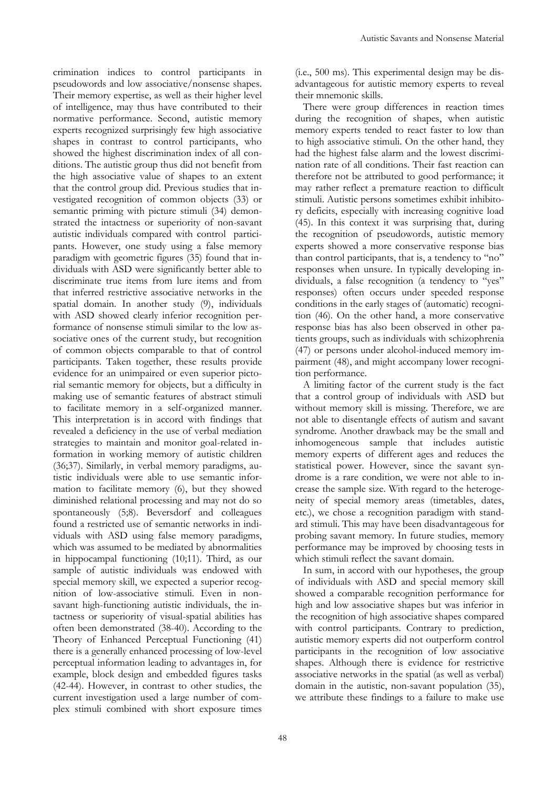crimination indices to control participants in pseudowords and low associative/nonsense shapes. Their memory expertise, as well as their higher level of intelligence, may thus have contributed to their normative performance. Second, autistic memory experts recognized surprisingly few high associative shapes in contrast to control participants, who showed the highest discrimination index of all conditions. The autistic group thus did not benefit from the high associative value of shapes to an extent that the control group did. Previous studies that investigated recognition of common objects (33) or semantic priming with picture stimuli (34) demonstrated the intactness or superiority of non-savant autistic individuals compared with control participants. However, one study using a false memory paradigm with geometric figures (35) found that individuals with ASD were significantly better able to discriminate true items from lure items and from that inferred restrictive associative networks in the spatial domain. In another study (9), individuals with ASD showed clearly inferior recognition performance of nonsense stimuli similar to the low associative ones of the current study, but recognition of common objects comparable to that of control participants. Taken together, these results provide evidence for an unimpaired or even superior pictorial semantic memory for objects, but a difficulty in making use of semantic features of abstract stimuli to facilitate memory in a self-organized manner. This interpretation is in accord with findings that revealed a deficiency in the use of verbal mediation strategies to maintain and monitor goal-related information in working memory of autistic children (36;37). Similarly, in verbal memory paradigms, autistic individuals were able to use semantic information to facilitate memory (6), but they showed diminished relational processing and may not do so spontaneously (5;8). Beversdorf and colleagues found a restricted use of semantic networks in individuals with ASD using false memory paradigms, which was assumed to be mediated by abnormalities in hippocampal functioning (10;11). Third, as our sample of autistic individuals was endowed with special memory skill, we expected a superior recognition of low-associative stimuli. Even in nonsavant high-functioning autistic individuals, the intactness or superiority of visual-spatial abilities has often been demonstrated (38-40). According to the Theory of Enhanced Perceptual Functioning (41) there is a generally enhanced processing of low-level perceptual information leading to advantages in, for example, block design and embedded figures tasks (42-44). However, in contrast to other studies, the current investigation used a large number of complex stimuli combined with short exposure times

(i.e., 500 ms). This experimental design may be disadvantageous for autistic memory experts to reveal their mnemonic skills.

There were group differences in reaction times during the recognition of shapes, when autistic memory experts tended to react faster to low than to high associative stimuli. On the other hand, they had the highest false alarm and the lowest discrimination rate of all conditions. Their fast reaction can therefore not be attributed to good performance; it may rather reflect a premature reaction to difficult stimuli. Autistic persons sometimes exhibit inhibitory deficits, especially with increasing cognitive load (45). In this context it was surprising that, during the recognition of pseudowords, autistic memory experts showed a more conservative response bias than control participants, that is, a tendency to "no" responses when unsure. In typically developing individuals, a false recognition (a tendency to "yes" responses) often occurs under speeded response conditions in the early stages of (automatic) recognition (46). On the other hand, a more conservative response bias has also been observed in other patients groups, such as individuals with schizophrenia (47) or persons under alcohol-induced memory impairment (48), and might accompany lower recognition performance.

A limiting factor of the current study is the fact that a control group of individuals with ASD but without memory skill is missing. Therefore, we are not able to disentangle effects of autism and savant syndrome. Another drawback may be the small and inhomogeneous sample that includes autistic memory experts of different ages and reduces the statistical power. However, since the savant syndrome is a rare condition, we were not able to increase the sample size. With regard to the heterogeneity of special memory areas (timetables, dates, etc.), we chose a recognition paradigm with standard stimuli. This may have been disadvantageous for probing savant memory. In future studies, memory performance may be improved by choosing tests in which stimuli reflect the savant domain.

In sum, in accord with our hypotheses, the group of individuals with ASD and special memory skill showed a comparable recognition performance for high and low associative shapes but was inferior in the recognition of high associative shapes compared with control participants. Contrary to prediction, autistic memory experts did not outperform control participants in the recognition of low associative shapes. Although there is evidence for restrictive associative networks in the spatial (as well as verbal) domain in the autistic, non-savant population (35), we attribute these findings to a failure to make use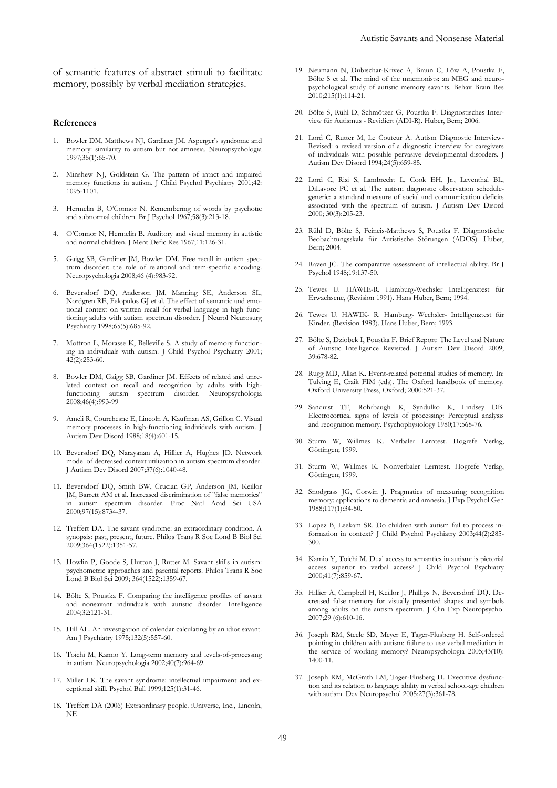of semantic features of abstract stimuli to facilitate memory, possibly by verbal mediation strategies.

#### **References**

- 1. Bowler DM, Matthews NJ, Gardiner JM. Asperger's syndrome and memory: similarity to autism but not amnesia. Neuropsychologia 1997;35(1):65-70.
- 2. Minshew NJ, Goldstein G. The pattern of intact and impaired memory functions in autism. J Child Psychol Psychiatry 2001;42: 1095-1101.
- 3. Hermelin B, O'Connor N. Remembering of words by psychotic and subnormal children. Br J Psychol 1967;58(3):213-18.
- 4. O'Connor N, Hermelin B. Auditory and visual memory in autistic and normal children. J Ment Defic Res 1967;11:126-31.
- 5. Gaigg SB, Gardiner JM, Bowler DM. Free recall in autism spectrum disorder: the role of relational and item-specific encoding. Neuropsychologia 2008;46 (4):983-92.
- 6. Beversdorf DQ, Anderson JM, Manning SE, Anderson SL, Nordgren RE, Felopulos GJ et al. The effect of semantic and emotional context on written recall for verbal language in high functioning adults with autism spectrum disorder. J Neurol Neurosurg Psychiatry 1998;65(5):685-92.
- 7. Mottron L, Morasse K, Belleville S. A study of memory functioning in individuals with autism. J Child Psychol Psychiatry 2001; 42(2):253-60.
- 8. Bowler DM, Gaigg SB, Gardiner JM. Effects of related and unrelated context on recall and recognition by adults with highfunctioning autism spectrum disorder. Neuropsychologia 2008;46(4):993-99
- 9. Ameli R, Courchesne E, Lincoln A, Kaufman AS, Grillon C. Visual memory processes in high-functioning individuals with autism. J Autism Dev Disord 1988;18(4):601-15.
- 10. Beversdorf DQ, Narayanan A, Hillier A, Hughes JD. Network model of decreased context utilization in autism spectrum disorder. J Autism Dev Disord 2007;37(6):1040-48.
- 11. Beversdorf DQ, Smith BW, Crucian GP, Anderson JM, Keillor JM, Barrett AM et al. Increased discrimination of "false memories" in autism spectrum disorder. Proc Natl Acad Sci USA 2000;97(15):8734-37.
- 12. Treffert DA. The savant syndrome: an extraordinary condition. A synopsis: past, present, future. Philos Trans R Soc Lond B Biol Sci 2009;364(1522):1351-57.
- 13. Howlin P, Goode S, Hutton J, Rutter M. Savant skills in autism: psychometric approaches and parental reports. Philos Trans R Soc Lond B Biol Sci 2009; 364(1522):1359-67.
- 14. Bölte S, Poustka F. Comparing the intelligence profiles of savant and nonsavant individuals with autistic disorder. Intelligence 2004;32:121-31.
- 15. Hill AL. An investigation of calendar calculating by an idiot savant. Am J Psychiatry 1975;132(5):557-60.
- 16. Toichi M, Kamio Y. Long-term memory and levels-of-processing in autism. Neuropsychologia 2002;40(7):964-69.
- 17. Miller LK. The savant syndrome: intellectual impairment and exceptional skill. Psychol Bull 1999;125(1):31-46.
- 18. Treffert DA (2006) Extraordinary people. iUniverse, Inc., Lincoln, NE
- 19. Neumann N, Dubischar-Krivec A, Braun C, Löw A, Poustka F, Bölte S et al. The mind of the mnemonists: an MEG and neuropsychological study of autistic memory savants. Behav Brain Res 2010;215(1):114-21.
- 20. Bölte S, Rühl D, Schmötzer G, Poustka F. Diagnostisches Interview für Autismus - Revidiert (ADI-R). Huber, Bern; 2006.
- 21. Lord C, Rutter M, Le Couteur A. Autism Diagnostic Interview-Revised: a revised version of a diagnostic interview for caregivers of individuals with possible pervasive developmental disorders. J Autism Dev Disord 1994;24(5):659-85.
- 22. Lord C, Risi S, Lambrecht L, Cook EH, Jr., Leventhal BL, DiLavore PC et al. The autism diagnostic observation schedulegeneric: a standard measure of social and communication deficits associated with the spectrum of autism. J Autism Dev Disord 2000; 30(3):205-23.
- 23. Rühl D, Bölte S, Feineis-Matthews S, Poustka F. Diagnostische Beobachtungsskala für Autistische Störungen (ADOS). Huber, Bern; 2004.
- 24. Raven JC. The comparative assessment of intellectual ability. Br J Psychol 1948;19:137-50.
- 25. Tewes U. HAWIE-R. Hamburg-Wechsler Intelligenztest für Erwachsene, (Revision 1991). Hans Huber, Bern; 1994.
- 26. Tewes U. HAWIK- R. Hamburg- Wechsler- Intelligenztest für Kinder. (Revision 1983). Hans Huber, Bern; 1993.
- 27. Bölte S, Dziobek I, Poustka F. Brief Report: The Level and Nature of Autistic Intelligence Revisited. J Autism Dev Disord 2009; 39:678-82.
- 28. Rugg MD, Allan K. Event-related potential studies of memory. In: Tulving E, Craik FIM (eds). The Oxford handbook of memory. Oxford University Press, Oxford; 2000:521-37.
- 29. Sanquist TF, Rohrbaugh K, Syndulko K, Lindsey DB. Electrocortical signs of levels of processing: Perceptual analysis and recognition memory. Psychophysiology 1980;17:568-76.
- 30. Sturm W, Willmes K. Verbaler Lerntest. Hogrefe Verlag, Göttingen; 1999.
- 31. Sturm W, Willmes K. Nonverbaler Lerntest. Hogrefe Verlag, Göttingen; 1999.
- 32. Snodgrass JG, Corwin J. Pragmatics of measuring recognition memory: applications to dementia and amnesia. J Exp Psychol Gen 1988;117(1):34-50.
- 33. Lopez B, Leekam SR. Do children with autism fail to process information in context? J Child Psychol Psychiatry 2003;44(2):285- 300.
- 34. Kamio Y, Toichi M. Dual access to semantics in autism: is pictorial access superior to verbal access? J Child Psychol Psychiatry 2000;41(7):859-67.
- 35. Hillier A, Campbell H, Keillor J, Phillips N, Beversdorf DQ. Decreased false memory for visually presented shapes and symbols among adults on the autism spectrum. J Clin Exp Neuropsychol 2007;29 (6):610-16.
- 36. Joseph RM, Steele SD, Meyer E, Tager-Flusberg H. Self-ordered pointing in children with autism: failure to use verbal mediation in the service of working memory? Neuropsychologia 2005;43(10): 1400-11.
- 37. Joseph RM, McGrath LM, Tager-Flusberg H. Executive dysfunction and its relation to language ability in verbal school-age children with autism. Dev Neuropsychol 2005;27(3):361-78.